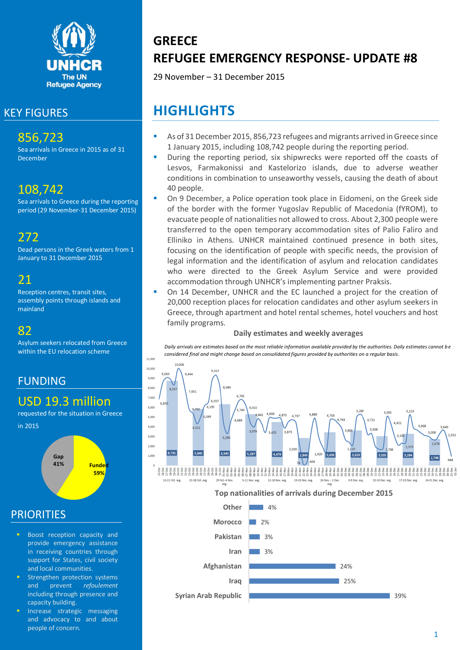

### KEY FIGURES

## 856,723

Sea arrivals in Greece in 2015 as of 31 December

## 108,742

Sea arrivals to Greece during the reporting period (29 November-31 December 2015)

272

Dead persons in the Greek waters from 1 January to 31 December 2015

## 21

Reception centres, transit sites, assembly points through islands and mainland

### 82

Asylum seekers relocated from Greece within the EU relocation scheme

## FUNDING

### USD 19.3 million

requested for the situation in Greece in 2015



### **PRIORITIES**

- Boost reception capacity and provide emergency assistance in receiving countries through support for States, civil society and local communities.
- Strengthen protection systems and prevent *refoulement* including through presence and capacity building.
- Increase strategic messaging and advocacy to and about people of concern.

# **GREECE REFUGEE EMERGENCY RESPONSE- UPDATE #8**

29 November – 31 December 2015

# **HIGHLIGHTS**

- As of 31 December 2015, 856,723 refugees and migrants arrived in Greece since 1 January 2015, including 108,742 people during the reporting period.
- During the reporting period, six shipwrecks were reported off the coasts of Lesvos, Farmakonissi and Kastelorizo islands, due to adverse weather conditions in combination to unseaworthy vessels, causing the death of about 40 people.
- On 9 December, a Police operation took place in Eidomeni, on the Greek side of the border with the former Yugoslav Republic of Macedonia (fYROM), to evacuate people of nationalities not allowed to cross. About 2,300 people were transferred to the open temporary accommodation sites of Palio Faliro and Elliniko in Athens. UNHCR maintained continued presence in both sites, focusing on the identification of people with specific needs, the provision of legal information and the identification of asylum and relocation candidates who were directed to the Greek Asylum Service and were provided accommodation through UNHCR's implementing partner Praksis.
- On 14 December, UNHCR and the EC launched a project for the creation of 20,000 reception places for relocation candidates and other asylum seekers in Greece, through apartment and hotel rental schemes, hotel vouchers and host family programs.

#### **Daily estimates and weekly averages**

*Daily arrivals are estimates based on the most reliable information available provided by the authorities. Daily estimates cannot be considered final and might change based on consolidated figures provided by authorities on a regular basis.*

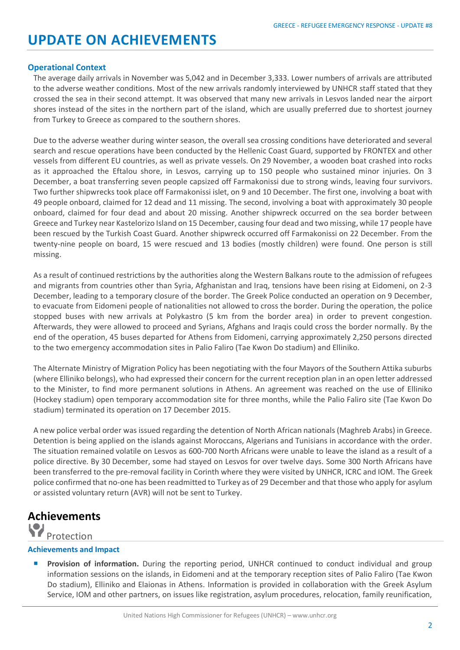## **UPDATE ON ACHIEVEMENTS**

#### **Operational Context**

The average daily arrivals in November was 5,042 and in December 3,333. Lower numbers of arrivals are attributed to the adverse weather conditions. Most of the new arrivals randomly interviewed by UNHCR staff stated that they crossed the sea in their second attempt. It was observed that many new arrivals in Lesvos landed near the airport shores instead of the sites in the northern part of the island, which are usually preferred due to shortest journey from Turkey to Greece as compared to the southern shores.

Due to the adverse weather during winter season, the overall sea crossing conditions have deteriorated and several search and rescue operations have been conducted by the Hellenic Coast Guard, supported by FRONTEX and other vessels from different EU countries, as well as private vessels. On 29 November, a wooden boat crashed into rocks as it approached the Eftalou shore, in Lesvos, carrying up to 150 people who sustained minor injuries. On 3 December, a boat transferring seven people capsized off Farmakonissi due to strong winds, leaving four survivors. Two further shipwrecks took place off Farmakonissi islet, on 9 and 10 December. The first one, involving a boat with 49 people onboard, claimed for 12 dead and 11 missing. The second, involving a boat with approximately 30 people onboard, claimed for four dead and about 20 missing. Another shipwreck occurred on the sea border between Greece and Turkey near Kastelorizo Island on 15 December, causing four dead and two missing, while 17 people have been rescued by the Turkish Coast Guard. Another shipwreck occurred off Farmakonissi on 22 December. From the twenty-nine people on board, 15 were rescued and 13 bodies (mostly children) were found. One person is still missing.

As a result of continued restrictions by the authorities along the Western Balkans route to the admission of refugees and migrants from countries other than Syria, Afghanistan and Iraq, tensions have been rising at Eidomeni, on 2-3 December, leading to a temporary closure of the border. The Greek Police conducted an operation on 9 December, to evacuate from Eidomeni people of nationalities not allowed to cross the border. During the operation, the police stopped buses with new arrivals at Polykastro (5 km from the border area) in order to prevent congestion. Afterwards, they were allowed to proceed and Syrians, Afghans and Iraqis could cross the border normally. By the end of the operation, 45 buses departed for Athens from Eidomeni, carrying approximately 2,250 persons directed to the two emergency accommodation sites in Palio Faliro (Tae Kwon Do stadium) and Elliniko.

The Alternate Ministry of Migration Policy has been negotiating with the four Mayors of the Southern Attika suburbs (where Elliniko belongs), who had expressed their concern for the current reception plan in an open letter addressed to the Minister, to find more permanent solutions in Athens. An agreement was reached on the use of Elliniko (Hockey stadium) open temporary accommodation site for three months, while the Palio Faliro site (Tae Kwon Do stadium) terminated its operation on 17 December 2015.

A new police verbal order was issued regarding the detention of North African nationals (Maghreb Arabs) in Greece. Detention is being applied on the islands against Moroccans, Algerians and Tunisians in accordance with the order. The situation remained volatile on Lesvos as 600-700 North Africans were unable to leave the island as a result of a police directive. By 30 December, some had stayed on Lesvos for over twelve days. Some 300 North Africans have been transferred to the pre-removal facility in Corinth where they were visited by UNHCR, ICRC and IOM. The Greek police confirmed that no-one has been readmitted to Turkey as of 29 December and that those who apply for asylum or assisted voluntary return (AVR) will not be sent to Turkey.

## **Achievements**

### Protection

#### **Achievements and Impact**

 **Provision of information.** During the reporting period, UNHCR continued to conduct individual and group information sessions on the islands, in Eidomeni and at the temporary reception sites of Palio Faliro (Tae Kwon Do stadium), Elliniko and Elaionas in Athens. Information is provided in collaboration with the Greek Asylum Service, IOM and other partners, on issues like registration, asylum procedures, relocation, family reunification,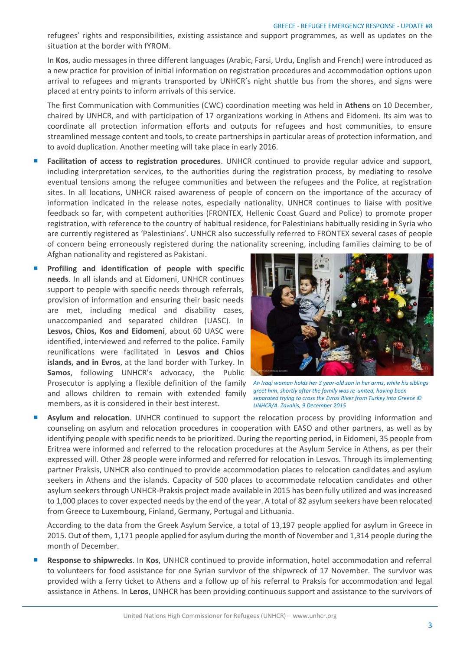refugees' rights and responsibilities, existing assistance and support programmes, as well as updates on the situation at the border with fYROM.

In **Kos**, audio messages in three different languages (Arabic, Farsi, Urdu, English and French) were introduced as a new practice for provision of initial information on registration procedures and accommodation options upon arrival to refugees and migrants transported by UNHCR's night shuttle bus from the shores, and signs were placed at entry points to inform arrivals of this service.

The first Communication with Communities (CWC) coordination meeting was held in **Athens** on 10 December, chaired by UNHCR, and with participation of 17 organizations working in Athens and Eidomeni. Its aim was to coordinate all protection information efforts and outputs for refugees and host communities, to ensure streamlined message content and tools, to create partnerships in particular areas of protection information, and to avoid duplication. Another meeting will take place in early 2016.

- **Facilitation of access to registration procedures**. UNHCR continued to provide regular advice and support, including interpretation services, to the authorities during the registration process, by mediating to resolve eventual tensions among the refugee communities and between the refugees and the Police, at registration sites. In all locations, UNHCR raised awareness of people of concern on the importance of the accuracy of information indicated in the release notes, especially nationality. UNHCR continues to liaise with positive feedback so far, with competent authorities (FRONTEX, Hellenic Coast Guard and Police) to promote proper registration, with reference to the country of habitual residence, for Palestinians habitually residing in Syria who are currently registered as 'Palestinians'. UNHCR also successfully referred to FRONTEX several cases of people of concern being erroneously registered during the nationality screening, including families claiming to be of Afghan nationality and registered as Pakistani.
- **Profiling and identification of people with specific needs**. In all islands and at Eidomeni, UNHCR continues support to people with specific needs through referrals, provision of information and ensuring their basic needs are met, including medical and disability cases, unaccompanied and separated children (UASC). In **Lesvos, Chios, Kos and Eidomeni**, about 60 UASC were identified, interviewed and referred to the police. Family reunifications were facilitated in **Lesvos and Chios islands, and in Evros**, at the land border with Turkey. In **Samos**, following UNHCR's advocacy, the Public Prosecutor is applying a flexible definition of the family An Iraqi woman holds her 3 year-old son in her arms, while his siblings and allows children to remain with extended family members, as it is considered in their best interest.



*greet him, shortly after the family was re-united, having been separated trying to cross the Evros River from Turkey into Greece © UNHCR/A. Zavallis, 9 December 2015*

 **Asylum and relocation**. UNHCR continued to support the relocation process by providing information and counseling on asylum and relocation procedures in cooperation with EASO and other partners, as well as by identifying people with specific needs to be prioritized. During the reporting period, in Eidomeni, 35 people from Eritrea were informed and referred to the relocation procedures at the Asylum Service in Athens, as per their expressed will. Other 28 people were informed and referred for relocation in Lesvos. Through its implementing partner Praksis, UNHCR also continued to provide accommodation places to relocation candidates and asylum seekers in Athens and the islands. Capacity of 500 places to accommodate relocation candidates and other asylum seekers through UNHCR-Praksis project made available in 2015 has been fully utilized and was increased to 1,000 places to cover expected needs by the end of the year. A total of 82 asylum seekers have been relocated from Greece to Luxembourg, Finland, Germany, Portugal and Lithuania.

According to the data from the Greek Asylum Service, a total of 13,197 people applied for asylum in Greece in 2015. Out of them, 1,171 people applied for asylum during the month of November and 1,314 people during the month of December.

 **Response to shipwrecks**. In **Kos**, UNHCR continued to provide information, hotel accommodation and referral to volunteers for food assistance for one Syrian survivor of the shipwreck of 17 November. The survivor was provided with a ferry ticket to Athens and a follow up of his referral to Praksis for accommodation and legal assistance in Athens. In **Leros**, UNHCR has been providing continuous support and assistance to the survivors of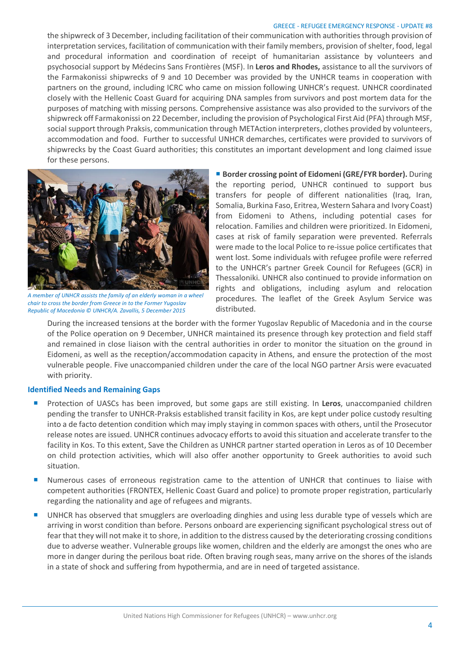#### GREECE - REFUGEE EMERGENCY RESPONSE - UPDATE #8

the shipwreck of 3 December, including facilitation of their communication with authorities through provision of interpretation services, facilitation of communication with their family members, provision of shelter, food, legal and procedural information and coordination of receipt of humanitarian assistance by volunteers and psychosocial support by Médecins Sans Frontières (MSF). In **Leros and Rhodes,** assistance to all the survivors of the Farmakonissi shipwrecks of 9 and 10 December was provided by the UNHCR teams in cooperation with partners on the ground, including ICRC who came on mission following UNHCR's request. UNHCR coordinated closely with the Hellenic Coast Guard for acquiring DNA samples from survivors and post mortem data for the purposes of matching with missing persons. Comprehensive assistance was also provided to the survivors of the shipwreck off Farmakonissi on 22 December, including the provision of Psychological First Aid (PFA) through MSF, social support through Praksis, communication through METAction interpreters, clothes provided by volunteers, accommodation and food. Further to successful UNHCR demarches, certificates were provided to survivors of shipwrecks by the Coast Guard authorities; this constitutes an important development and long claimed issue for these persons.



*A member of UNHCR assists the family of an elderly woman in a wheel chair to cross the border from Greece in to the Former Yugoslav Republic of Macedonia © UNHCR/A. Zavallis, 5 December 2015*

■ **Border crossing point of Eidomeni (GRE/FYR border).** During the reporting period, UNHCR continued to support bus transfers for people of different nationalities (Iraq, Iran, Somalia, Burkina Faso, Eritrea, Western Sahara and Ivory Coast) from Eidomeni to Athens, including potential cases for relocation. Families and children were prioritized. In Eidomeni, cases at risk of family separation were prevented. Referrals were made to the local Police to re-issue police certificates that went lost. Some individuals with refugee profile were referred to the UNHCR's partner Greek Council for Refugees (GCR) in Thessaloniki. UNHCR also continued to provide information on rights and obligations, including asylum and relocation procedures. The leaflet of the Greek Asylum Service was distributed.

During the increased tensions at the border with the former Yugoslav Republic of Macedonia and in the course of the Police operation on 9 December, UNHCR maintained its presence through key protection and field staff and remained in close liaison with the central authorities in order to monitor the situation on the ground in Eidomeni, as well as the reception/accommodation capacity in Athens, and ensure the protection of the most vulnerable people. Five unaccompanied children under the care of the local NGO partner Arsis were evacuated with priority.

#### **Identified Needs and Remaining Gaps**

- **Protection of UASCs has been improved, but some gaps are still existing. In Leros, unaccompanied children** pending the transfer to UNHCR-Praksis established transit facility in Kos, are kept under police custody resulting into a de facto detention condition which may imply staying in common spaces with others, until the Prosecutor release notes are issued. UNHCR continues advocacy efforts to avoid this situation and accelerate transfer to the facility in Kos. To this extent, Save the Children as UNHCR partner started operation in Leros as of 10 December on child protection activities, which will also offer another opportunity to Greek authorities to avoid such situation.
- **Numerous cases of erroneous registration came to the attention of UNHCR that continues to liaise with** competent authorities (FRONTEX, Hellenic Coast Guard and police) to promote proper registration, particularly regarding the nationality and age of refugees and migrants.
- UNHCR has observed that smugglers are overloading dinghies and using less durable type of vessels which are arriving in worst condition than before. Persons onboard are experiencing significant psychological stress out of fear that they will not make it to shore, in addition to the distress caused by the deteriorating crossing conditions due to adverse weather. Vulnerable groups like women, children and the elderly are amongst the ones who are more in danger during the perilous boat ride. Often braving rough seas, many arrive on the shores of the islands in a state of shock and suffering from hypothermia, and are in need of targeted assistance.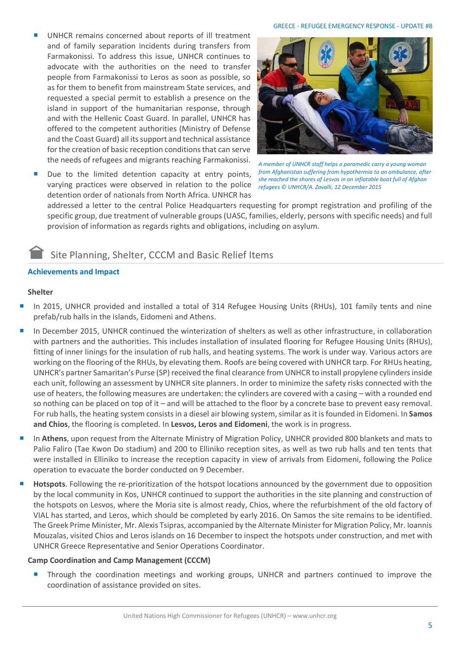- UNHCR remains concerned about reports of ill treatment and of family separation incidents during transfers from Farmakonissi. To address this issue, UNHCR continues to advocate with the authorities on the need to transfer people from Farmakonissi to Leros as soon as possible, so as for them to benefit from mainstream State services, and requested a special permit to establish a presence on the island in support of the humanitarian response, through and with the Hellenic Coast Guard. In parallel, UNHCR has offered to the competent authorities (Ministry of Defense and the Coast Guard) all its support and technical assistance for the creation of basic reception conditions that can serve the needs of refugees and migrants reaching Farmakonissi.
- Due to the limited detention capacity at entry points, varying practices were observed in relation to the police detention order of nationals from North Africa. UNHCR has



*A member of UNHCR staff helps a paramedic carry a young woman from Afghanistan suffering from hypothermia to an ambulance, after she reached the shores of Lesvos in an inflatable boat full of Afghan refugees © UNHCR/A. Zavalli, 12 December 2015*

addressed a letter to the central Police Headquarters requesting for prompt registration and profiling of the specific group, due treatment of vulnerable groups (UASC, families, elderly, persons with specific needs) and full provision of information as regards rights and obligations, including on asylum.

### Site Planning, Shelter, CCCM and Basic Relief Items

### **Achievements and Impact**

#### **Shelter**

- In 2015, UNHCR provided and installed a total of 314 Refugee Housing Units (RHUs), 101 family tents and nine prefab/rub halls in the islands, Eidomeni and Athens.
- In December 2015, UNHCR continued the winterization of shelters as well as other infrastructure, in collaboration with partners and the authorities. This includes installation of insulated flooring for Refugee Housing Units (RHUs), fitting of inner linings for the insulation of rub halls, and heating systems. The work is under way. Various actors are working on the flooring of the RHUs, by elevating them. Roofs are being covered with UNHCR tarp. For RHUs heating, UNHCR's partner Samaritan's Purse (SP) received the final clearance from UNHCR to install propylene cylinders inside each unit, following an assessment by UNHCR site planners. In order to minimize the safety risks connected with the use of heaters, the following measures are undertaken: the cylinders are covered with a casing – with a rounded end so nothing can be placed on top of it – and will be attached to the floor by a concrete base to prevent easy removal. For rub halls, the heating system consists in a diesel air blowing system, similar as it is founded in Eidomeni. In **Samos and Chios**, the flooring is completed. In **Lesvos, Leros and Eidomeni**, the work is in progress.
- In **Athens**, upon request from the Alternate Ministry of Migration Policy, UNHCR provided 800 blankets and mats to Palio Faliro (Tae Kwon Do stadium) and 200 to Elliniko reception sites, as well as two rub halls and ten tents that were installed in Elliniko to increase the reception capacity in view of arrivals from Eidomeni, following the Police operation to evacuate the border conducted on 9 December.
- **Hotspots**. Following the re-prioritization of the hotspot locations announced by the government due to opposition by the local community in Kos, UNHCR continued to support the authorities in the site planning and construction of the hotspots on Lesvos, where the Moria site is almost ready, Chios, where the refurbishment of the old factory of VIAL has started, and Leros, which should be completed by early 2016. On Samos the site remains to be identified. The Greek Prime Minister, Mr. Alexis Tsipras, accompanied by the Alternate Minister for Migration Policy, Mr. Ioannis Mouzalas, visited Chios and Leros islands on 16 December to inspect the hotspots under construction, and met with UNHCR Greece Representative and Senior Operations Coordinator.

#### **Camp Coordination and Camp Management (CCCM)**

 Through the coordination meetings and working groups, UNHCR and partners continued to improve the coordination of assistance provided on sites.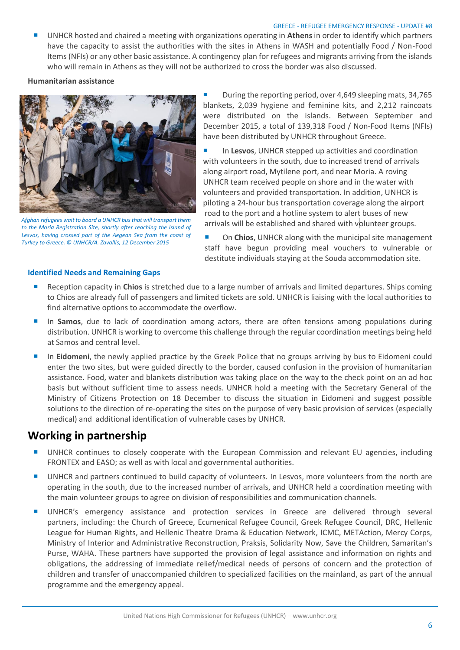#### GREECE - REFUGEE EMERGENCY RESPONSE - UPDATE #8

 UNHCR hosted and chaired a meeting with organizations operating in **Athens**in order to identify which partners have the capacity to assist the authorities with the sites in Athens in WASH and potentially Food / Non-Food Items (NFIs) or any other basic assistance. A contingency plan for refugees and migrants arriving from the islands who will remain in Athens as they will not be authorized to cross the border was also discussed.

**Humanitarian assistance** 



*Afghan refugees wait to board a UNHCR bus that will transport them to the Moria Registration Site, shortly after reaching the island of Lesvos, having crossed part of the Aegean Sea from the coast of Turkey to Greece. © UNHCR/A. Zavallis, 12 December 2015*

 During the reporting period, over 4,649 sleeping mats, 34,765 blankets, 2,039 hygiene and feminine kits, and 2,212 raincoats were distributed on the islands. Between September and December 2015, a total of 139,318 Food / Non-Food Items (NFIs) have been distributed by UNHCR throughout Greece.

■ In Lesvos, UNHCR stepped up activities and coordination with volunteers in the south, due to increased trend of arrivals along airport road, Mytilene port, and near Moria. A roving UNHCR team received people on shore and in the water with volunteers and provided transportation. In addition, UNHCR is piloting a 24-hour bus transportation coverage along the airport road to the port and a hotline system to alert buses of new arrivals will be established and shared with volunteer groups.

 On **Chios**, UNHCR along with the municipal site management staff have begun providing meal vouchers to vulnerable or destitute individuals staying at the Souda accommodation site.

#### **Identified Needs and Remaining Gaps**

- **Reception capacity in Chios** is stretched due to a large number of arrivals and limited departures. Ships coming to Chios are already full of passengers and limited tickets are sold. UNHCR is liaising with the local authorities to find alternative options to accommodate the overflow.
- **In Samos**, due to lack of coordination among actors, there are often tensions among populations during distribution. UNHCR is working to overcome this challenge through the regular coordination meetings being held at Samos and central level.
- **In Eidomeni**, the newly applied practice by the Greek Police that no groups arriving by bus to Eidomeni could enter the two sites, but were guided directly to the border, caused confusion in the provision of humanitarian assistance. Food, water and blankets distribution was taking place on the way to the check point on an ad hoc basis but without sufficient time to assess needs. UNHCR hold a meeting with the Secretary General of the Ministry of Citizens Protection on 18 December to discuss the situation in Eidomeni and suggest possible solutions to the direction of re-operating the sites on the purpose of very basic provision of services (especially medical) and additional identification of vulnerable cases by UNHCR.

### **Working in partnership**

- UNHCR continues to closely cooperate with the European Commission and relevant EU agencies, including FRONTEX and EASO; as well as with local and governmental authorities.
- UNHCR and partners continued to build capacity of volunteers. In Lesvos, more volunteers from the north are operating in the south, due to the increased number of arrivals, and UNHCR held a coordination meeting with the main volunteer groups to agree on division of responsibilities and communication channels.
- **UNHCR's** emergency assistance and protection services in Greece are delivered through several partners, including: the Church of Greece, Ecumenical Refugee Council, Greek Refugee Council, DRC, Hellenic League for Human Rights, and Hellenic Theatre Drama & Education Network, ICMC, METAction, Mercy Corps, Ministry of Interior and Administrative Reconstruction, Praksis, Solidarity Now, Save the Children, Samaritan's Purse, WAHA. These partners have supported the provision of legal assistance and information on rights and obligations, the addressing of immediate relief/medical needs of persons of concern and the protection of children and transfer of unaccompanied children to specialized facilities on the mainland, as part of the annual programme and the emergency appeal.